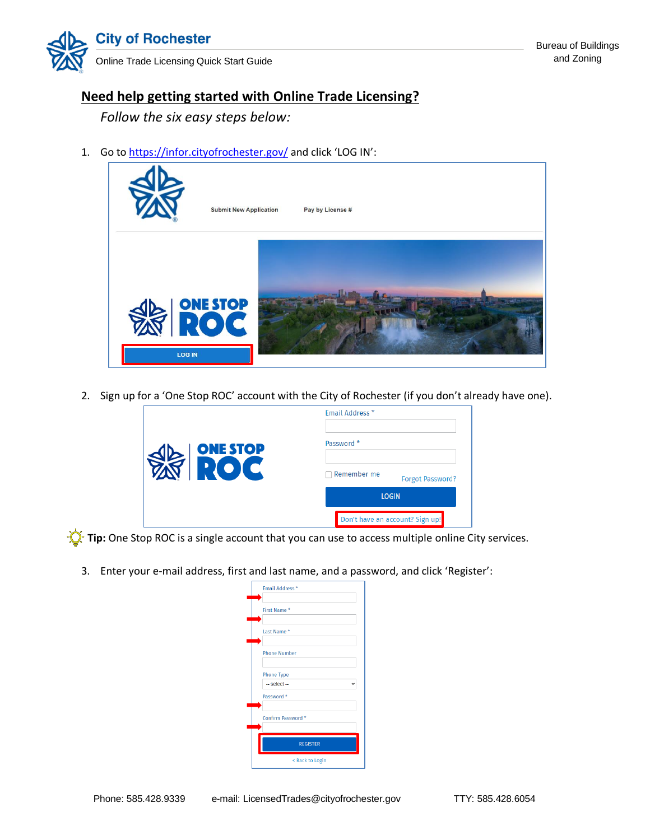

## **Need help getting started with Online Trade Licensing?**

*Follow the six easy steps below:*

1. Go t[o https://infor.cityofrochester.gov/](https://infor.cityofrochester.gov/) and click 'LOG IN':



2. Sign up for a 'One Stop ROC' account with the City of Rochester (if you don't already have one).

|                               | <b>Forgot Password?</b><br><b>LOGIN</b><br>Don't have an account? Sign up! |  |
|-------------------------------|----------------------------------------------------------------------------|--|
| <b>ONE STOP</b><br><b>ZOT</b> | Email Address *<br>Password *<br>Remember me                               |  |

**The:** One Stop ROC is a single account that you can use to access multiple online City services.

3. Enter your e-mail address, first and last name, and a password, and click 'Register':

| Email Address *                   |  |
|-----------------------------------|--|
| First Name*                       |  |
| Last Name*                        |  |
| <b>Phone Number</b>               |  |
| <b>Phone Type</b><br>-- select -- |  |
| Password *                        |  |
| Confirm Password *                |  |
| <b>REGISTER</b>                   |  |
| < Back to Login                   |  |